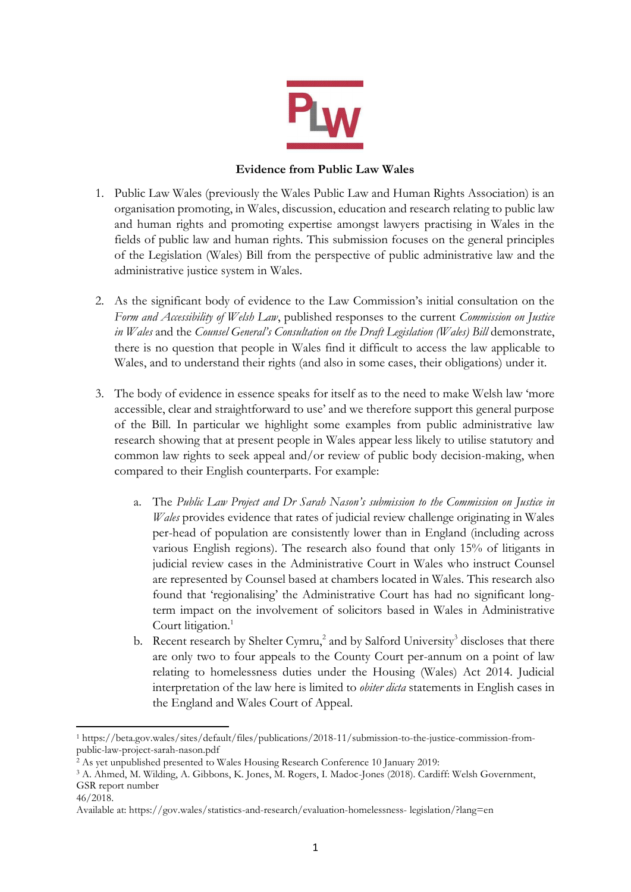

# **Evidence from Public Law Wales**

- 1. Public Law Wales (previously the Wales Public Law and Human Rights Association) is an organisation promoting, in Wales, discussion, education and research relating to public law and human rights and promoting expertise amongst lawyers practising in Wales in the fields of public law and human rights. This submission focuses on the general principles of the Legislation (Wales) Bill from the perspective of public administrative law and the administrative justice system in Wales.
- 2. As the significant body of evidence to the Law Commission's initial consultation on the *Form and Accessibility of Welsh Law*, published responses to the current *Commission on Justice in Wales* and the *Counsel General's Consultation on the Draft Legislation (Wales) Bill* demonstrate, there is no question that people in Wales find it difficult to access the law applicable to Wales, and to understand their rights (and also in some cases, their obligations) under it.
- 3. The body of evidence in essence speaks for itself as to the need to make Welsh law 'more accessible, clear and straightforward to use' and we therefore support this general purpose of the Bill. In particular we highlight some examples from public administrative law research showing that at present people in Wales appear less likely to utilise statutory and common law rights to seek appeal and/or review of public body decision-making, when compared to their English counterparts. For example:
	- a. The *Public Law Project and Dr Sarah Nason's submission to the Commission on Justice in Wales* provides evidence that rates of judicial review challenge originating in Wales per-head of population are consistently lower than in England (including across various English regions). The research also found that only 15% of litigants in judicial review cases in the Administrative Court in Wales who instruct Counsel are represented by Counsel based at chambers located in Wales. This research also found that 'regionalising' the Administrative Court has had no significant longterm impact on the involvement of solicitors based in Wales in Administrative Court litigation.<sup>1</sup>
	- b. Recent research by Shelter Cymru,<sup>2</sup> and by Salford University<sup>3</sup> discloses that there are only two to four appeals to the County Court per-annum on a point of law relating to homelessness duties under the Housing (Wales) Act 2014. Judicial interpretation of the law here is limited to *obiter dicta* statements in English cases in the England and Wales Court of Appeal.

<sup>1</sup> https://beta.gov.wales/sites/default/files/publications/2018-11/submission-to-the-justice-commission-frompublic-law-project-sarah-nason.pdf

<sup>&</sup>lt;sup>2</sup> As yet unpublished presented to Wales Housing Research Conference 10 January 2019:

<sup>3</sup> A. Ahmed, M. Wilding, A. Gibbons, K. Jones, M. Rogers, I. Madoc-Jones (2018). Cardiff: Welsh Government, GSR report number

<sup>46/2018.</sup>

Available at: https://gov.wales/statistics-and-research/evaluation-homelessness- legislation/?lang=en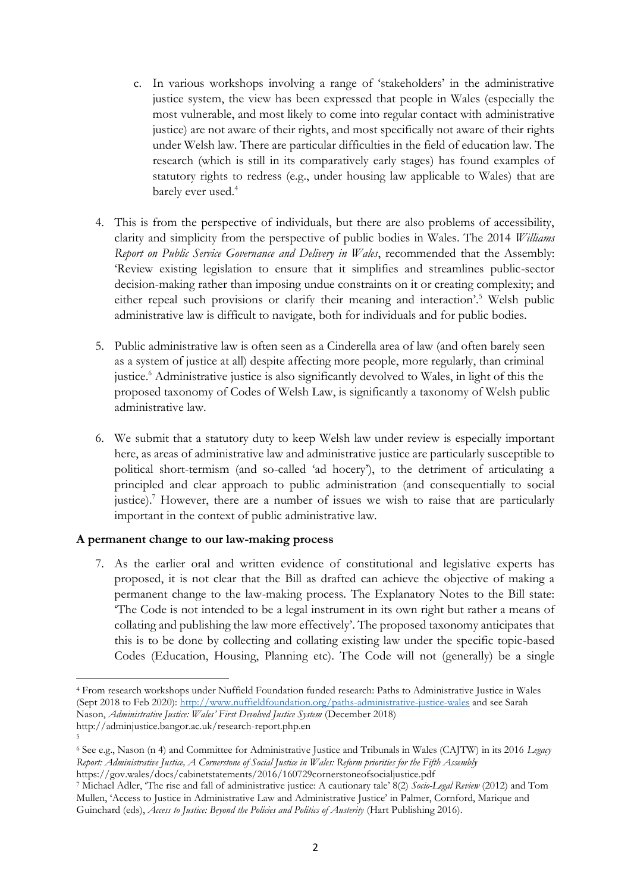- c. In various workshops involving a range of 'stakeholders' in the administrative justice system, the view has been expressed that people in Wales (especially the most vulnerable, and most likely to come into regular contact with administrative justice) are not aware of their rights, and most specifically not aware of their rights under Welsh law. There are particular difficulties in the field of education law. The research (which is still in its comparatively early stages) has found examples of statutory rights to redress (e.g., under housing law applicable to Wales) that are barely ever used.<sup>4</sup>
- 4. This is from the perspective of individuals, but there are also problems of accessibility, clarity and simplicity from the perspective of public bodies in Wales. The 2014 *Williams Report on Public Service Governance and Delivery in Wales*, recommended that the Assembly: 'Review existing legislation to ensure that it simplifies and streamlines public-sector decision-making rather than imposing undue constraints on it or creating complexity; and either repeal such provisions or clarify their meaning and interaction'.<sup>5</sup> Welsh public administrative law is difficult to navigate, both for individuals and for public bodies.
- 5. Public administrative law is often seen as a Cinderella area of law (and often barely seen as a system of justice at all) despite affecting more people, more regularly, than criminal justice.<sup>6</sup> Administrative justice is also significantly devolved to Wales, in light of this the proposed taxonomy of Codes of Welsh Law, is significantly a taxonomy of Welsh public administrative law.
- 6. We submit that a statutory duty to keep Welsh law under review is especially important here, as areas of administrative law and administrative justice are particularly susceptible to political short-termism (and so-called 'ad hocery'), to the detriment of articulating a principled and clear approach to public administration (and consequentially to social justice).<sup>7</sup> However, there are a number of issues we wish to raise that are particularly important in the context of public administrative law.

## **A permanent change to our law-making process**

5

7. As the earlier oral and written evidence of constitutional and legislative experts has proposed, it is not clear that the Bill as drafted can achieve the objective of making a permanent change to the law-making process. The Explanatory Notes to the Bill state: 'The Code is not intended to be a legal instrument in its own right but rather a means of collating and publishing the law more effectively'. The proposed taxonomy anticipates that this is to be done by collecting and collating existing law under the specific topic-based Codes (Education, Housing, Planning etc). The Code will not (generally) be a single

<sup>4</sup> From research workshops under Nuffield Foundation funded research: Paths to Administrative Justice in Wales (Sept 2018 to Feb 2020):<http://www.nuffieldfoundation.org/paths-administrative-justice-wales> and see Sarah Nason, *Administrative Justice: Wales' First Devolved Justice System* (December 2018) http://adminjustice.bangor.ac.uk/research-report.php.en

<sup>6</sup> See e.g., Nason (n 4) and Committee for Administrative Justice and Tribunals in Wales (CAJTW) in its 2016 *Legacy Report: Administrative Justice, A Cornerstone of Social Justice in Wales: Reform priorities for the Fifth Assembly* https://gov.wales/docs/cabinetstatements/2016/160729cornerstoneofsocialjustice.pdf

<sup>7</sup> Michael Adler, 'The rise and fall of administrative justice: A cautionary tale' 8(2) *Socio-Legal Review* (2012) and Tom Mullen, 'Access to Justice in Administrative Law and Administrative Justice' in Palmer, Cornford, Marique and Guinchard (eds), *Access to Justice: Beyond the Policies and Politics of Austerity* (Hart Publishing 2016).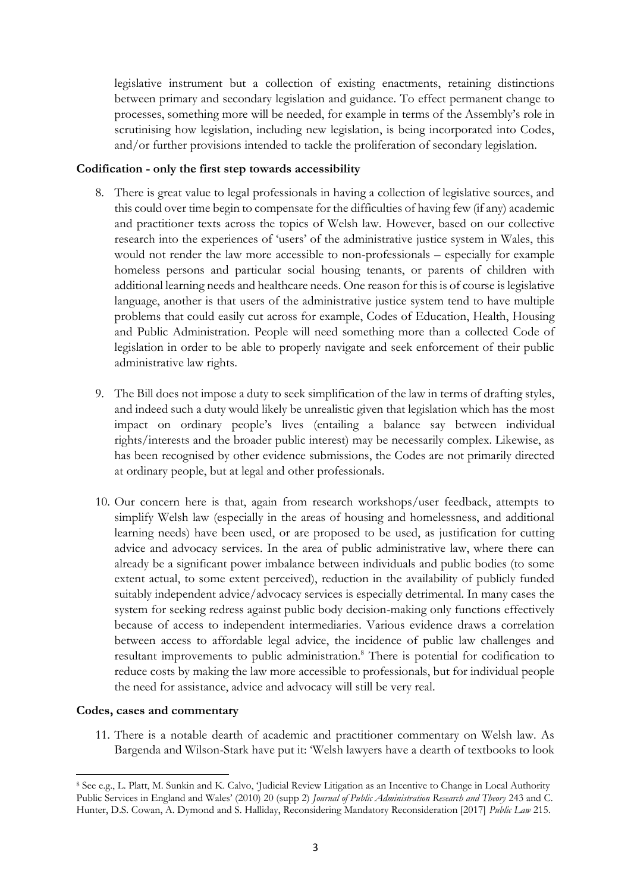legislative instrument but a collection of existing enactments, retaining distinctions between primary and secondary legislation and guidance. To effect permanent change to processes, something more will be needed, for example in terms of the Assembly's role in scrutinising how legislation, including new legislation, is being incorporated into Codes, and/or further provisions intended to tackle the proliferation of secondary legislation.

#### **Codification - only the first step towards accessibility**

- 8. There is great value to legal professionals in having a collection of legislative sources, and this could over time begin to compensate for the difficulties of having few (if any) academic and practitioner texts across the topics of Welsh law. However, based on our collective research into the experiences of 'users' of the administrative justice system in Wales, this would not render the law more accessible to non-professionals – especially for example homeless persons and particular social housing tenants, or parents of children with additional learning needs and healthcare needs. One reason for this is of course is legislative language, another is that users of the administrative justice system tend to have multiple problems that could easily cut across for example, Codes of Education, Health, Housing and Public Administration. People will need something more than a collected Code of legislation in order to be able to properly navigate and seek enforcement of their public administrative law rights.
- 9. The Bill does not impose a duty to seek simplification of the law in terms of drafting styles, and indeed such a duty would likely be unrealistic given that legislation which has the most impact on ordinary people's lives (entailing a balance say between individual rights/interests and the broader public interest) may be necessarily complex. Likewise, as has been recognised by other evidence submissions, the Codes are not primarily directed at ordinary people, but at legal and other professionals.
- 10. Our concern here is that, again from research workshops/user feedback, attempts to simplify Welsh law (especially in the areas of housing and homelessness, and additional learning needs) have been used, or are proposed to be used, as justification for cutting advice and advocacy services. In the area of public administrative law, where there can already be a significant power imbalance between individuals and public bodies (to some extent actual, to some extent perceived), reduction in the availability of publicly funded suitably independent advice/advocacy services is especially detrimental. In many cases the system for seeking redress against public body decision-making only functions effectively because of access to independent intermediaries. Various evidence draws a correlation between access to affordable legal advice, the incidence of public law challenges and resultant improvements to public administration.<sup>8</sup> There is potential for codification to reduce costs by making the law more accessible to professionals, but for individual people the need for assistance, advice and advocacy will still be very real.

## **Codes, cases and commentary**

11. There is a notable dearth of academic and practitioner commentary on Welsh law. As Bargenda and Wilson-Stark have put it: 'Welsh lawyers have a dearth of textbooks to look

<sup>8</sup> See e.g., L. Platt, M. Sunkin and K. Calvo, 'Judicial Review Litigation as an Incentive to Change in Local Authority Public Services in England and Wales' (2010) 20 (supp 2) *Journal of Public Administration Research and Theory* 243 and C. Hunter, D.S. Cowan, A. Dymond and S. Halliday, Reconsidering Mandatory Reconsideration [2017] *Public Law* 215.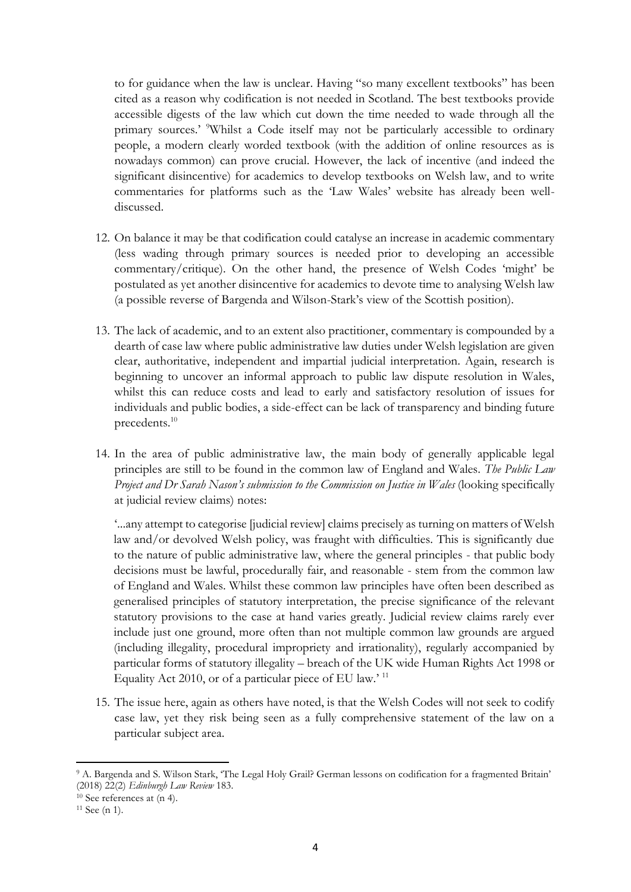to for guidance when the law is unclear. Having "so many excellent textbooks" has been cited as a reason why codification is not needed in Scotland. The best textbooks provide accessible digests of the law which cut down the time needed to wade through all the primary sources.' <sup>9</sup>Whilst a Code itself may not be particularly accessible to ordinary people, a modern clearly worded textbook (with the addition of online resources as is nowadays common) can prove crucial. However, the lack of incentive (and indeed the significant disincentive) for academics to develop textbooks on Welsh law, and to write commentaries for platforms such as the 'Law Wales' website has already been welldiscussed.

- 12. On balance it may be that codification could catalyse an increase in academic commentary (less wading through primary sources is needed prior to developing an accessible commentary/critique). On the other hand, the presence of Welsh Codes 'might' be postulated as yet another disincentive for academics to devote time to analysing Welsh law (a possible reverse of Bargenda and Wilson-Stark's view of the Scottish position).
- 13. The lack of academic, and to an extent also practitioner, commentary is compounded by a dearth of case law where public administrative law duties under Welsh legislation are given clear, authoritative, independent and impartial judicial interpretation. Again, research is beginning to uncover an informal approach to public law dispute resolution in Wales, whilst this can reduce costs and lead to early and satisfactory resolution of issues for individuals and public bodies, a side-effect can be lack of transparency and binding future precedents.<sup>10</sup>
- 14. In the area of public administrative law, the main body of generally applicable legal principles are still to be found in the common law of England and Wales. *The Public Law Project and Dr Sarah Nason's submission to the Commission on Justice in Wales* (looking specifically at judicial review claims) notes:

'...any attempt to categorise [judicial review] claims precisely as turning on matters of Welsh law and/or devolved Welsh policy, was fraught with difficulties. This is significantly due to the nature of public administrative law, where the general principles - that public body decisions must be lawful, procedurally fair, and reasonable - stem from the common law of England and Wales. Whilst these common law principles have often been described as generalised principles of statutory interpretation, the precise significance of the relevant statutory provisions to the case at hand varies greatly. Judicial review claims rarely ever include just one ground, more often than not multiple common law grounds are argued (including illegality, procedural impropriety and irrationality), regularly accompanied by particular forms of statutory illegality – breach of the UK wide Human Rights Act 1998 or Equality Act 2010, or of a particular piece of EU law.' <sup>11</sup>

15. The issue here, again as others have noted, is that the Welsh Codes will not seek to codify case law, yet they risk being seen as a fully comprehensive statement of the law on a particular subject area.

<sup>9</sup> A. Bargenda and S. Wilson Stark, 'The Legal Holy Grail? German lessons on codification for a fragmented Britain' (2018) 22(2) *Edinburgh Law Review* 183.

<sup>10</sup> See references at (n 4).

<sup>11</sup> See (n 1).